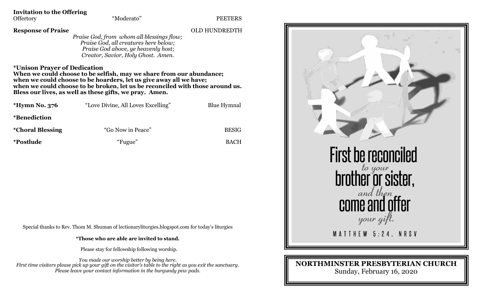| <b>Invitation to the Offering</b> |            |
|-----------------------------------|------------|
| <b>Offertory</b>                  | "Moderato" |

**Response of Praise** OLD HUNDREDTH

*Praise God, from whom all blessings flow; Praise God, all creatures here below; Praise God above, ye heavenly host; Creator, Savior, Holy Ghost. Amen.*

**\*Unison Prayer of Dedication** 

**When we could choose to be selfish, may we share from our abundance; when we could choose to be hoarders, let us give away all we have; when we could choose to be broken, let us be reconciled with those around us. Bless our lives, as well as these gifts, we pray. Amen.**

| *Hymn No. 376            | "Love Divine, All Loves Excelling" | <b>Blue Hymnal</b> |
|--------------------------|------------------------------------|--------------------|
| <i>*</i> Benediction     |                                    |                    |
| <i>*</i> Choral Blessing | "Go Now in Peace"                  | <b>BESIG</b>       |
| <i>*Postlude</i>         | "Fugue"                            | <b>BACH</b>        |

Special thanks to Rev. Thom M. Shuman of lectionaryliturgies.blogspot.com for today's liturgies

**\*Those who are able are invited to stand.**

Please stay for fellowship following worship.

*You made our worship better by being here. First time visitors please pick up your gift on the visitor's table to the right as you exit the sanctuary. Please leave your contact information in the burgundy pew pads.*



## **NORTHMINSTER PRESBYTERIAN CHURCH**

Sunday, February 16, 2020